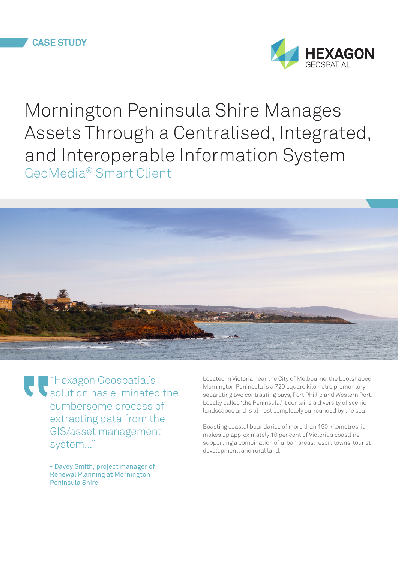

Mornington Peninsula Shire Manages Assets Through a Centralised, Integrated, and Interoperable Information System GeoMedia® Smart Client



"Hexagon Geospatial's solution has eliminated the cumbersome process of extracting data from the GIS/asset management system..."

> - Davey Smith, project manager of Renewal Planning at Mornington Peninsula Shire

Located in Victoria near the City of Melbourne, the bootshaped Mornington Peninsula is a 720 square kilometre promontory separating two contrasting bays, Port Phillip and Western Port. Locally called 'the Peninsula,' it contains a diversity of scenic landscapes and is almost completely surrounded by the sea.

Boasting coastal boundaries of more than 190 kilometres, it makes up approximately 10 per cent of Victoria's coastline supporting a combination of urban areas, resort towns, tourist development, and rural land.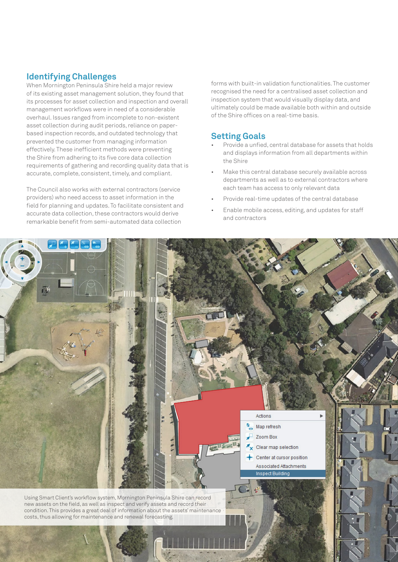### **Identifying Challenges**

When Mornington Peninsula Shire held a major review of its existing asset management solution, they found that its processes for asset collection and inspection and overall management workflows were in need of a considerable overhaul. Issues ranged from incomplete to non-existent asset collection during audit periods, reliance on paperbased inspection records, and outdated technology that prevented the customer from managing information effectively. These inefficient methods were preventing the Shire from adhering to its five core data collection requirements of gathering and recording quality data that is accurate, complete, consistent, timely, and compliant.

The Council also works with external contractors (service providers) who need access to asset information in the field for planning and updates. To facilitate consistent and accurate data collection, these contractors would derive remarkable benefit from semi-automated data collection

forms with built-in validation functionalities. The customer recognised the need for a centralised asset collection and inspection system that would visually display data, and ultimately could be made available both within and outside of the Shire offices on a real-time basis.

#### **Setting Goals**

- Provide a unfied, central database for assets that holds and displays information from all departments within the Shire
- Make this central database securely available across departments as well as to external contractors where each team has access to only relevant data
- Provide real-time updates of the central database
- Enable mobile access, editing, and updates for staff and contractors

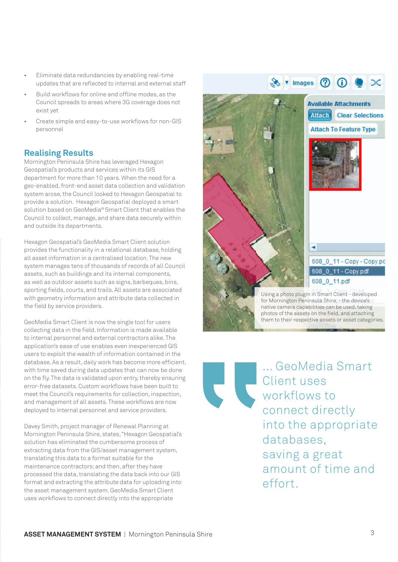- Eliminate data redundancies by enabling real-time updates that are reflected to internal and external staff
- Build workflows for online and offline modes, as the Council spreads to areas where 3G coverage does not exist yet
- Create simple and easy-to-use workflows for non-GIS personnel

## **Realising Results**

Mornington Peninsula Shire has leveraged Hexagon Geospatial's products and services within its GIS department for more than 10 years. When the need for a geo-enabled, front-end asset data collection and validation system arose, the Council looked to Hexagon Geospatial to provide a solution. Hexagon Geospatial deployed a smart solution based on GeoMedia® Smart Client that enables the Council to collect, manage, and share data securely within and outside its departments.

Hexagon Geospatial's GeoMedia Smart Client solution provides the functionality in a relational database, holding all asset information in a centralised location. The new system manages tens of thousands of records of all Council assets, such as buildings and its internal components, as well as outdoor assets such as signs, barbeques, bins, sporting fields, courts, and trails. All assets are associated with geometry information and attribute data collected in the field by service providers.

GeoMedia Smart Client is now the single tool for users collecting data in the field. Information is made available to internal personnel and external contractors alike. The application's ease of use enables even inexperienced GIS users to exploit the wealth of information contained in the database. As a result, daily work has become more efficient, with time saved during data updates that can now be done on the fly. The data is validated upon entry, thereby ensuring error-free datasets. Custom workflows have been built to meet the Council's requirements for collection, inspection, and management of all assets. These workflows are now deployed to internal personnel and service providers.

Davey Smith, project manager of Renewal Planning at Mornington Peninsula Shire, states, "Hexagon Geospatial's solution has eliminated the cumbersome process of extracting data from the GIS/asset management system, translating this data to a format suitable for the maintenance contractors; and then, after they have processed the data, translating the data back into our GIS format and extracting the attribute data for uploading into the asset management system. GeoMedia Smart Client uses workflows to connect directly into the appropriate



for Mornington Peninsula Shire, - the device's native camera capabilities can be used, taking photos of the assets on the field, and attaching them to their respective assets or asset categories.

... GeoMedia Smart Client uses workflows to connect directly into the appropriate databases, saving a great amount of time and effort.